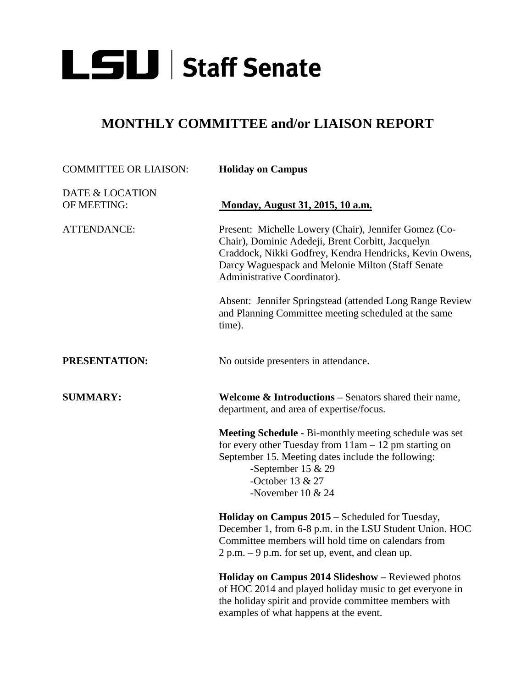

## **MONTHLY COMMITTEE and/or LIAISON REPORT**

| <b>COMMITTEE OR LIAISON:</b>   | <b>Holiday on Campus</b>                                                                                                                                                                                                                                   |
|--------------------------------|------------------------------------------------------------------------------------------------------------------------------------------------------------------------------------------------------------------------------------------------------------|
| DATE & LOCATION<br>OF MEETING: | Monday, August 31, 2015, 10 a.m.                                                                                                                                                                                                                           |
| <b>ATTENDANCE:</b>             | Present: Michelle Lowery (Chair), Jennifer Gomez (Co-<br>Chair), Dominic Adedeji, Brent Corbitt, Jacquelyn<br>Craddock, Nikki Godfrey, Kendra Hendricks, Kevin Owens,<br>Darcy Waguespack and Melonie Milton (Staff Senate<br>Administrative Coordinator). |
|                                | Absent: Jennifer Springstead (attended Long Range Review<br>and Planning Committee meeting scheduled at the same<br>time).                                                                                                                                 |
| PRESENTATION:                  | No outside presenters in attendance.                                                                                                                                                                                                                       |
| <b>SUMMARY:</b>                | <b>Welcome &amp; Introductions</b> $-$ Senators shared their name,<br>department, and area of expertise/focus.                                                                                                                                             |
|                                | Meeting Schedule - Bi-monthly meeting schedule was set<br>for every other Tuesday from $11am - 12$ pm starting on<br>September 15. Meeting dates include the following:<br>-September 15 $& 29$<br>-October 13 & 27<br>-November $10 \& 24$                |
|                                | Holiday on Campus 2015 – Scheduled for Tuesday,<br>December 1, from 6-8 p.m. in the LSU Student Union. HOC<br>Committee members will hold time on calendars from<br>$2 p.m. - 9 p.m.$ for set up, event, and clean up.                                     |
|                                | Holiday on Campus 2014 Slideshow - Reviewed photos<br>of HOC 2014 and played holiday music to get everyone in<br>the holiday spirit and provide committee members with<br>examples of what happens at the event.                                           |